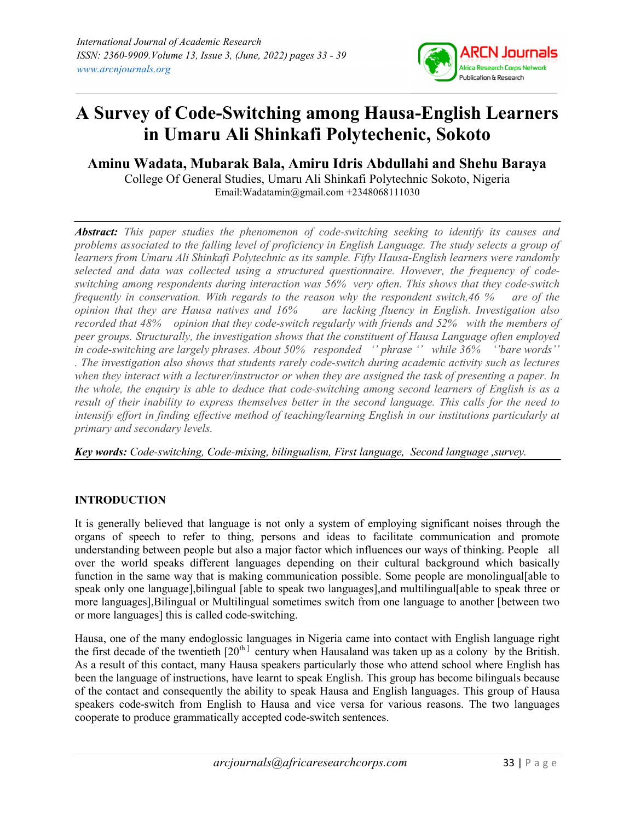

# A Survey of Code-Switching among Hausa-English Learners in Umaru Ali Shinkafi Polytechenic, Sokoto

Aminu Wadata, Mubarak Bala, Amiru Idris Abdullahi and Shehu Baraya College Of General Studies, Umaru Ali Shinkafi Polytechnic Sokoto, Nigeria

Email:Wadatamin@gmail.com +2348068111030

**Abstract:** This paper studies the phenomenon of code-switching seeking to identify its causes and problems associated to the falling level of proficiency in English Language. The study selects a group of learners from Umaru Ali Shinkafi Polytechnic as its sample. Fifty Hausa-English learners were randomly selected and data was collected using a structured questionnaire. However, the frequency of codeswitching among respondents during interaction was 56% very often. This shows that they code-switch frequently in conservation. With regards to the reason why the respondent switch,46 % are of the opinion that they are Hausa natives and 16% are lacking fluency in English. Investigation also recorded that 48% opinion that they code-switch regularly with friends and 52% with the members of peer groups. Structurally, the investigation shows that the constituent of Hausa Language often employed in code-switching are largely phrases. About 50% responded '' phrase '' while 36% ''bare words'' . The investigation also shows that students rarely code-switch during academic activity such as lectures when they interact with a lecturer/instructor or when they are assigned the task of presenting a paper. In the whole, the enquiry is able to deduce that code-switching among second learners of English is as a result of their inability to express themselves better in the second language. This calls for the need to intensify effort in finding effective method of teaching/learning English in our institutions particularly at primary and secondary levels.

Key words: Code-switching, Code-mixing, bilingualism, First language, Second language ,survey.

# INTRODUCTION

It is generally believed that language is not only a system of employing significant noises through the organs of speech to refer to thing, persons and ideas to facilitate communication and promote understanding between people but also a major factor which influences our ways of thinking. People all over the world speaks different languages depending on their cultural background which basically function in the same way that is making communication possible. Some people are monolingual[able to speak only one language],bilingual [able to speak two languages],and multilingual[able to speak three or more languages],Bilingual or Multilingual sometimes switch from one language to another [between two or more languages] this is called code-switching.

Hausa, one of the many endoglossic languages in Nigeria came into contact with English language right the first decade of the twentieth  $[20^{th}]$  century when Hausaland was taken up as a colony by the British. As a result of this contact, many Hausa speakers particularly those who attend school where English has been the language of instructions, have learnt to speak English. This group has become bilinguals because of the contact and consequently the ability to speak Hausa and English languages. This group of Hausa speakers code-switch from English to Hausa and vice versa for various reasons. The two languages cooperate to produce grammatically accepted code-switch sentences.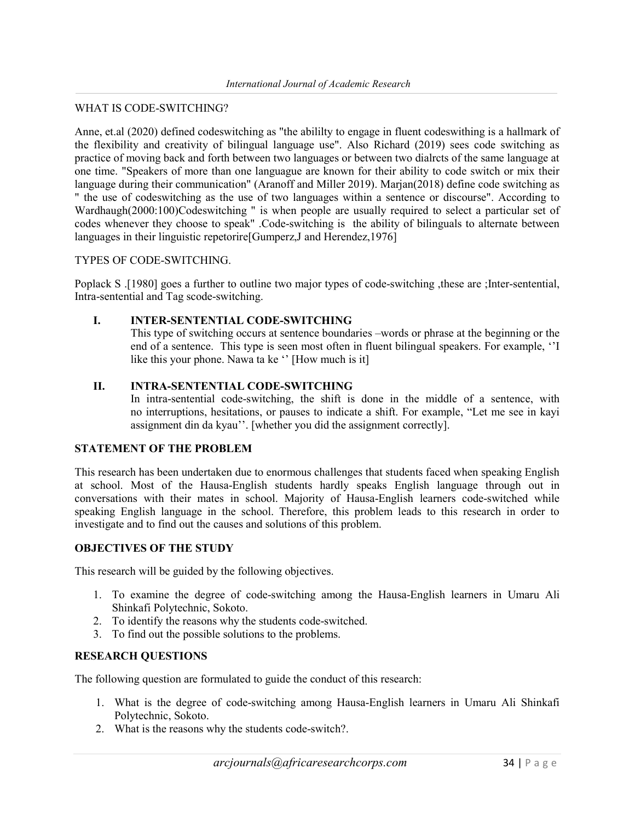#### WHAT IS CODE-SWITCHING?

Anne, et.al (2020) defined codeswitching as "the abililty to engage in fluent codeswithing is a hallmark of the flexibility and creativity of bilingual language use". Also Richard (2019) sees code switching as practice of moving back and forth between two languages or between two dialrcts of the same language at one time. "Speakers of more than one languague are known for their ability to code switch or mix their language during their communication" (Aranoff and Miller 2019). Marjan(2018) define code switching as " the use of codeswitching as the use of two languages within a sentence or discourse". According to Wardhaugh(2000:100)Codeswitching " is when people are usually required to select a particular set of codes whenever they choose to speak" .Code-switching is the ability of bilinguals to alternate between languages in their linguistic repetorire[Gumperz,J and Herendez,1976]

#### TYPES OF CODE-SWITCHING.

Poplack S .[1980] goes a further to outline two major types of code-switching ,these are ;Inter-sentential, Intra-sentential and Tag scode-switching.

# I. INTER-SENTENTIAL CODE-SWITCHING

This type of switching occurs at sentence boundaries –words or phrase at the beginning or the end of a sentence. This type is seen most often in fluent bilingual speakers. For example, ''I like this your phone. Nawa ta ke '' [How much is it]

#### II. INTRA-SENTENTIAL CODE-SWITCHING

In intra-sentential code-switching, the shift is done in the middle of a sentence, with no interruptions, hesitations, or pauses to indicate a shift. For example, "Let me see in kayi assignment din da kyau''. [whether you did the assignment correctly].

#### STATEMENT OF THE PROBLEM

This research has been undertaken due to enormous challenges that students faced when speaking English at school. Most of the Hausa-English students hardly speaks English language through out in conversations with their mates in school. Majority of Hausa-English learners code-switched while speaking English language in the school. Therefore, this problem leads to this research in order to investigate and to find out the causes and solutions of this problem.

# OBJECTIVES OF THE STUDY

This research will be guided by the following objectives.

- 1. To examine the degree of code-switching among the Hausa-English learners in Umaru Ali Shinkafi Polytechnic, Sokoto.
- 2. To identify the reasons why the students code-switched.
- 3. To find out the possible solutions to the problems.

#### RESEARCH QUESTIONS

The following question are formulated to guide the conduct of this research:

- 1. What is the degree of code-switching among Hausa-English learners in Umaru Ali Shinkafi Polytechnic, Sokoto.
- 2. What is the reasons why the students code-switch?.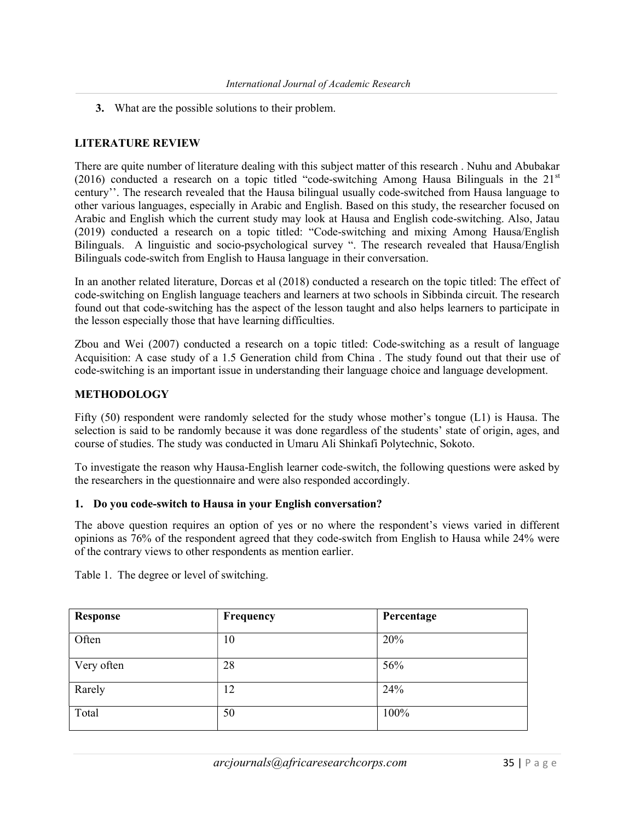3. What are the possible solutions to their problem.

# LITERATURE REVIEW

There are quite number of literature dealing with this subject matter of this research . Nuhu and Abubakar (2016) conducted a research on a topic titled "code-switching Among Hausa Bilinguals in the  $21<sup>st</sup>$ century''. The research revealed that the Hausa bilingual usually code-switched from Hausa language to other various languages, especially in Arabic and English. Based on this study, the researcher focused on Arabic and English which the current study may look at Hausa and English code-switching. Also, Jatau (2019) conducted a research on a topic titled: "Code-switching and mixing Among Hausa/English Bilinguals. A linguistic and socio-psychological survey ". The research revealed that Hausa/English Bilinguals code-switch from English to Hausa language in their conversation.

In an another related literature, Dorcas et al (2018) conducted a research on the topic titled: The effect of code-switching on English language teachers and learners at two schools in Sibbinda circuit. The research found out that code-switching has the aspect of the lesson taught and also helps learners to participate in the lesson especially those that have learning difficulties.

Zbou and Wei (2007) conducted a research on a topic titled: Code-switching as a result of language Acquisition: A case study of a 1.5 Generation child from China . The study found out that their use of code-switching is an important issue in understanding their language choice and language development.

#### METHODOLOGY

Fifty (50) respondent were randomly selected for the study whose mother's tongue (L1) is Hausa. The selection is said to be randomly because it was done regardless of the students' state of origin, ages, and course of studies. The study was conducted in Umaru Ali Shinkafi Polytechnic, Sokoto.

To investigate the reason why Hausa-English learner code-switch, the following questions were asked by the researchers in the questionnaire and were also responded accordingly.

#### 1. Do you code-switch to Hausa in your English conversation?

The above question requires an option of yes or no where the respondent's views varied in different opinions as 76% of the respondent agreed that they code-switch from English to Hausa while 24% were of the contrary views to other respondents as mention earlier.

| Response   | Frequency | Percentage |
|------------|-----------|------------|
| Often      | 10        | 20%        |
| Very often | 28        | 56%        |
| Rarely     | 12        | 24%        |
| Total      | 50        | 100%       |

Table 1. The degree or level of switching.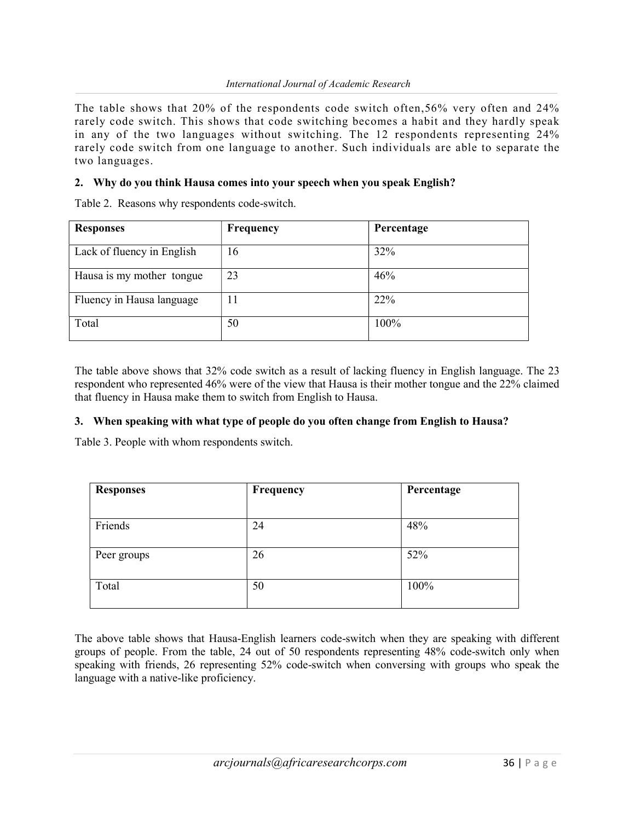The table shows that 20% of the respondents code switch often,56% very often and 24% rarely code switch. This shows that code switching becomes a habit and they hardly speak in any of the two languages without switching. The 12 respondents representing 24% rarely code switch from one language to another. Such individuals are able to separate the two languages.

# 2. Why do you think Hausa comes into your speech when you speak English?

Table 2. Reasons why respondents code-switch.

| <b>Responses</b>           | Frequency | Percentage |
|----------------------------|-----------|------------|
| Lack of fluency in English | 16        | 32%        |
| Hausa is my mother tongue  | 23        | 46%        |
| Fluency in Hausa language  | 11        | 22%        |
| Total                      | 50        | 100%       |

The table above shows that 32% code switch as a result of lacking fluency in English language. The 23 respondent who represented 46% were of the view that Hausa is their mother tongue and the 22% claimed that fluency in Hausa make them to switch from English to Hausa.

#### 3. When speaking with what type of people do you often change from English to Hausa?

Table 3. People with whom respondents switch.

| <b>Responses</b> | Frequency | Percentage |
|------------------|-----------|------------|
|                  |           |            |
| Friends          | 24        | 48%        |
| Peer groups      | 26        | 52%        |
| Total            | 50        | 100%       |

The above table shows that Hausa-English learners code-switch when they are speaking with different groups of people. From the table, 24 out of 50 respondents representing 48% code-switch only when speaking with friends, 26 representing 52% code-switch when conversing with groups who speak the language with a native-like proficiency.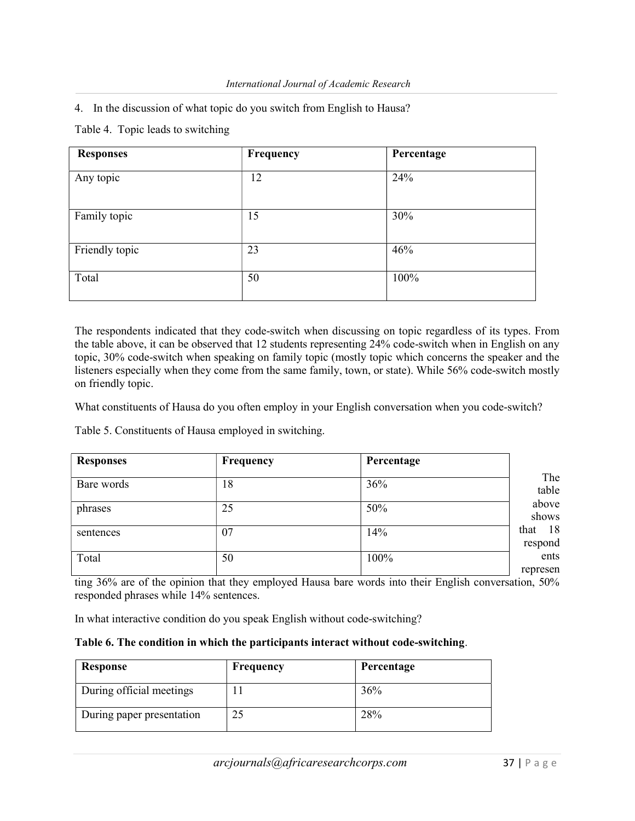4. In the discussion of what topic do you switch from English to Hausa?

Table 4. Topic leads to switching

| <b>Responses</b> | Frequency | Percentage |
|------------------|-----------|------------|
| Any topic        | 12        | 24%        |
| Family topic     | 15        | 30%        |
| Friendly topic   | 23        | 46%        |
| Total            | 50        | 100%       |

The respondents indicated that they code-switch when discussing on topic regardless of its types. From the table above, it can be observed that 12 students representing 24% code-switch when in English on any topic, 30% code-switch when speaking on family topic (mostly topic which concerns the speaker and the listeners especially when they come from the same family, town, or state). While 56% code-switch mostly on friendly topic.

What constituents of Hausa do you often employ in your English conversation when you code-switch?

Table 5. Constituents of Hausa employed in switching.

| <b>Responses</b> | Frequency | Percentage |                       |
|------------------|-----------|------------|-----------------------|
| Bare words       | 18        | 36%        | The<br>table          |
| phrases          | 25        | 50%        | above<br>shows        |
| sentences        | 07        | 14%        | 18<br>that<br>respond |
| Total            | 50        | 100%       | ents                  |
|                  |           |            | represen              |

ting 36% are of the opinion that they employed Hausa bare words into their English conversation, 50% responded phrases while 14% sentences.

In what interactive condition do you speak English without code-switching?

| Response                  | <b>Frequency</b> | Percentage |
|---------------------------|------------------|------------|
| During official meetings  |                  | 36%        |
| During paper presentation |                  | 28%        |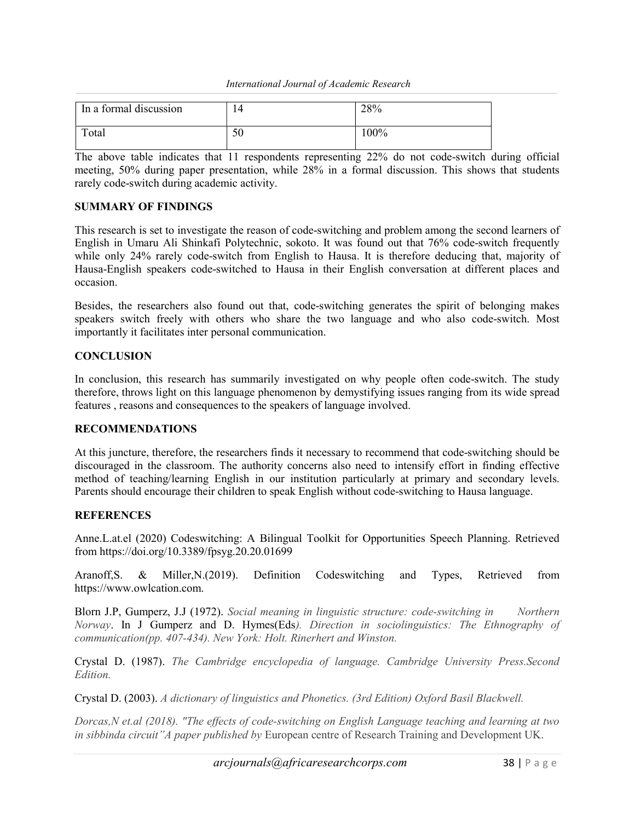#### International Journal of Academic Research

| In a formal discussion | 14 | 28%     |
|------------------------|----|---------|
| Total                  | 50 | $100\%$ |

The above table indicates that 11 respondents representing 22% do not code-switch during official meeting, 50% during paper presentation, while 28% in a formal discussion. This shows that students rarely code-switch during academic activity.

# SUMMARY OF FINDINGS

This research is set to investigate the reason of code-switching and problem among the second learners of English in Umaru Ali Shinkafi Polytechnic, sokoto. It was found out that 76% code-switch frequently while only 24% rarely code-switch from English to Hausa. It is therefore deducing that, majority of Hausa-English speakers code-switched to Hausa in their English conversation at different places and occasion.

Besides, the researchers also found out that, code-switching generates the spirit of belonging makes speakers switch freely with others who share the two language and who also code-switch. Most importantly it facilitates inter personal communication.

# **CONCLUSION**

In conclusion, this research has summarily investigated on why people often code-switch. The study therefore, throws light on this language phenomenon by demystifying issues ranging from its wide spread features , reasons and consequences to the speakers of language involved.

#### RECOMMENDATIONS

At this juncture, therefore, the researchers finds it necessary to recommend that code-switching should be discouraged in the classroom. The authority concerns also need to intensify effort in finding effective method of teaching/learning English in our institution particularly at primary and secondary levels. Parents should encourage their children to speak English without code-switching to Hausa language.

#### **REFERENCES**

Anne.L.at.el (2020) Codeswitching: A Bilingual Toolkit for Opportunities Speech Planning. Retrieved from https://doi.org/10.3389/fpsyg.20.20.01699

Aranoff,S. & Miller,N.(2019). Definition Codeswitching and Types, Retrieved from https://www.owlcation.com.

Blorn J.P, Gumperz, J.J (1972). Social meaning in linguistic structure: code-switching in Northern Norway. In J Gumperz and D. Hymes(Eds). Direction in sociolinguistics: The Ethnography of communication(pp. 407-434). New York: Holt. Rinerhert and Winston.

Crystal D. (1987). The Cambridge encyclopedia of language. Cambridge University Press.Second Edition.

Crystal D. (2003). A dictionary of linguistics and Phonetics. (3rd Edition) Oxford Basil Blackwell.

Dorcas,N et.al (2018). "The effects of code-switching on English Language teaching and learning at two in sibbinda circuit"A paper published by European centre of Research Training and Development UK.